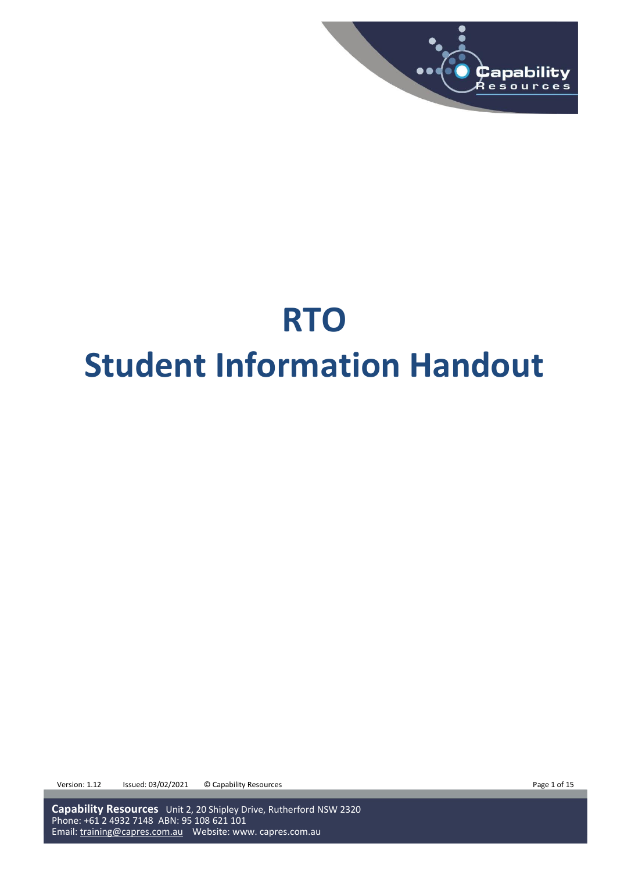

# **RTO Student Information Handout**

Version: 1.12 Issued: 03/02/2021 © Capability Resources **Page 1 of 15** Page 1 of 15

**Capability Resources** Unit 2, 20 Shipley Drive, Rutherford NSW 2320 Phone: +61 2 4932 7148 ABN: 95 108 621 101 Email: [training@capres.com.au](mailto:training@capres.com.au) Website: www. capres.com.au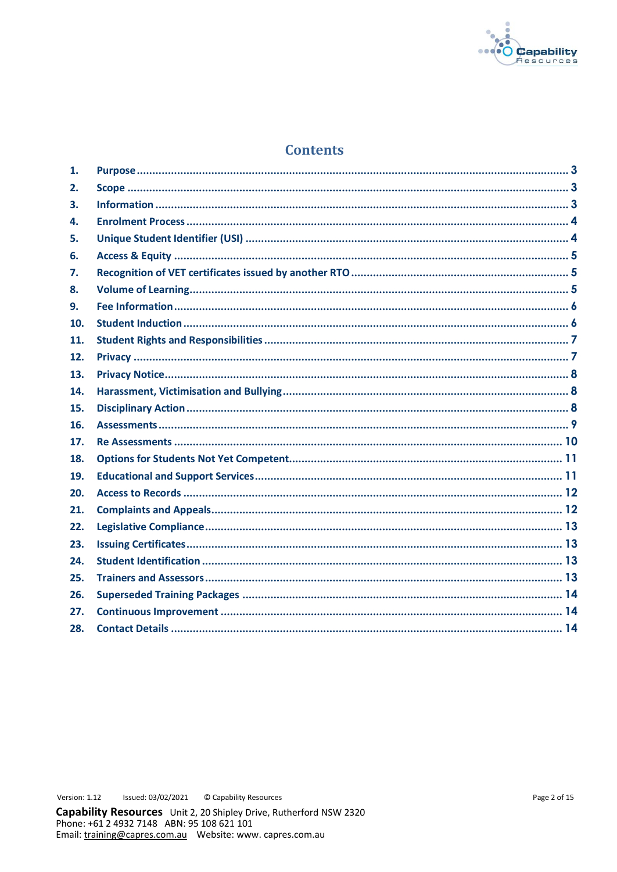

# **Contents**

| 1.  |  |
|-----|--|
| 2.  |  |
| 3.  |  |
| 4.  |  |
| 5.  |  |
| 6.  |  |
| 7.  |  |
| 8.  |  |
| 9.  |  |
| 10. |  |
| 11. |  |
| 12. |  |
| 13. |  |
| 14. |  |
| 15. |  |
| 16. |  |
| 17. |  |
| 18. |  |
| 19. |  |
| 20. |  |
| 21. |  |
| 22. |  |
| 23. |  |
| 24. |  |
| 25. |  |
| 26. |  |
| 27. |  |
| 28. |  |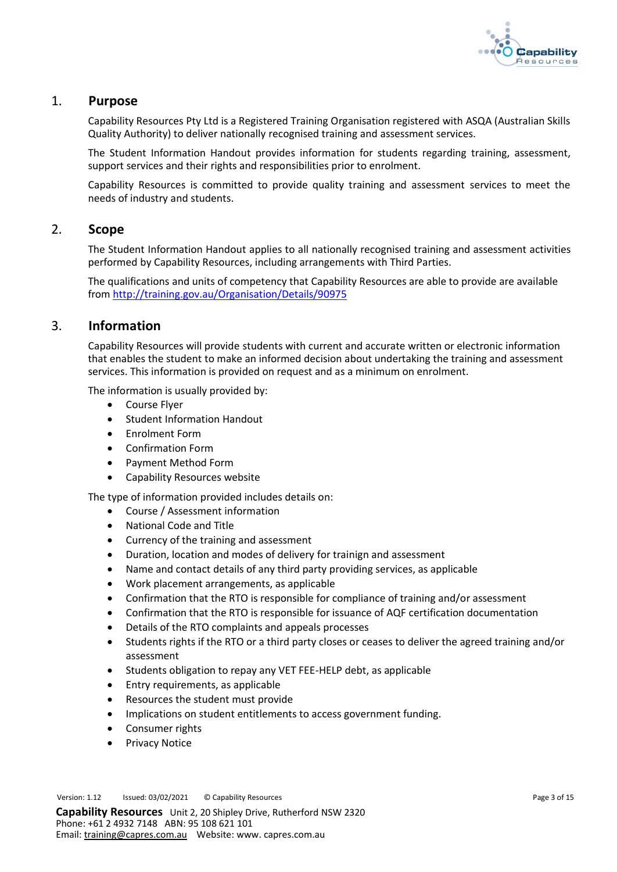

## <span id="page-2-0"></span>1. **Purpose**

Capability Resources Pty Ltd is a Registered Training Organisation registered with ASQA (Australian Skills Quality Authority) to deliver nationally recognised training and assessment services.

The Student Information Handout provides information for students regarding training, assessment, support services and their rights and responsibilities prior to enrolment.

Capability Resources is committed to provide quality training and assessment services to meet the needs of industry and students.

## <span id="page-2-1"></span>2. **Scope**

The Student Information Handout applies to all nationally recognised training and assessment activities performed by Capability Resources, including arrangements with Third Parties.

The qualifications and units of competency that Capability Resources are able to provide are available from<http://training.gov.au/Organisation/Details/90975>

## <span id="page-2-2"></span>3. **Information**

Capability Resources will provide students with current and accurate written or electronic information that enables the student to make an informed decision about undertaking the training and assessment services. This information is provided on request and as a minimum on enrolment.

The information is usually provided by:

- Course Flyer
- Student Information Handout
- Enrolment Form
- Confirmation Form
- Payment Method Form
- Capability Resources website

The type of information provided includes details on:

- Course / Assessment information
- National Code and Title
- Currency of the training and assessment
- Duration, location and modes of delivery for trainign and assessment
- Name and contact details of any third party providing services, as applicable
- Work placement arrangements, as applicable
- Confirmation that the RTO is responsible for compliance of training and/or assessment
- Confirmation that the RTO is responsible for issuance of AQF certification documentation
- Details of the RTO complaints and appeals processes
- Students rights if the RTO or a third party closes or ceases to deliver the agreed training and/or assessment
- Students obligation to repay any VET FEE-HELP debt, as applicable
- Entry requirements, as applicable
- Resources the student must provide
- Implications on student entitlements to access government funding.
- Consumer rights
- Privacy Notice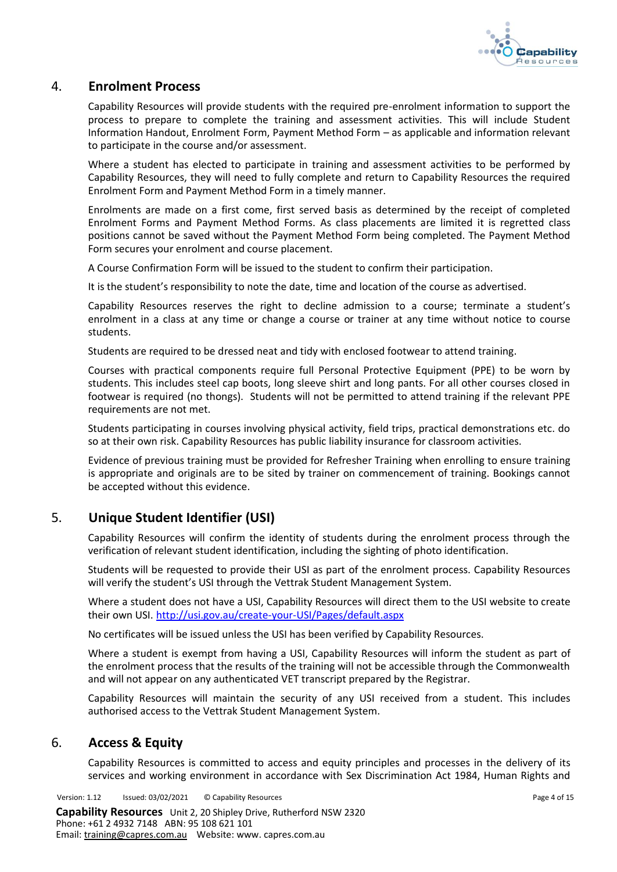

## <span id="page-3-0"></span>4. **Enrolment Process**

Capability Resources will provide students with the required pre-enrolment information to support the process to prepare to complete the training and assessment activities. This will include Student Information Handout, Enrolment Form, Payment Method Form – as applicable and information relevant to participate in the course and/or assessment.

Where a student has elected to participate in training and assessment activities to be performed by Capability Resources, they will need to fully complete and return to Capability Resources the required Enrolment Form and Payment Method Form in a timely manner.

Enrolments are made on a first come, first served basis as determined by the receipt of completed Enrolment Forms and Payment Method Forms. As class placements are limited it is regretted class positions cannot be saved without the Payment Method Form being completed. The Payment Method Form secures your enrolment and course placement.

A Course Confirmation Form will be issued to the student to confirm their participation.

It is the student's responsibility to note the date, time and location of the course as advertised.

Capability Resources reserves the right to decline admission to a course; terminate a student's enrolment in a class at any time or change a course or trainer at any time without notice to course students.

Students are required to be dressed neat and tidy with enclosed footwear to attend training.

Courses with practical components require full Personal Protective Equipment (PPE) to be worn by students. This includes steel cap boots, long sleeve shirt and long pants. For all other courses closed in footwear is required (no thongs). Students will not be permitted to attend training if the relevant PPE requirements are not met.

Students participating in courses involving physical activity, field trips, practical demonstrations etc. do so at their own risk. Capability Resources has public liability insurance for classroom activities.

Evidence of previous training must be provided for Refresher Training when enrolling to ensure training is appropriate and originals are to be sited by trainer on commencement of training. Bookings cannot be accepted without this evidence.

# <span id="page-3-1"></span>5. **Unique Student Identifier (USI)**

Capability Resources will confirm the identity of students during the enrolment process through the verification of relevant student identification, including the sighting of photo identification.

Students will be requested to provide their USI as part of the enrolment process. Capability Resources will verify the student's USI through the Vettrak Student Management System.

Where a student does not have a USI, Capability Resources will direct them to the USI website to create their own USI. <http://usi.gov.au/create-your-USI/Pages/default.aspx>

No certificates will be issued unless the USI has been verified by Capability Resources.

Where a student is exempt from having a USI, Capability Resources will inform the student as part of the enrolment process that the results of the training will not be accessible through the Commonwealth and will not appear on any authenticated VET transcript prepared by the Registrar.

Capability Resources will maintain the security of any USI received from a student. This includes authorised access to the Vettrak Student Management System.

# <span id="page-3-2"></span>6. **Access & Equity**

Capability Resources is committed to access and equity principles and processes in the delivery of its services and working environment in accordance with Sex Discrimination Act 1984, Human Rights and

Version: 1.12 Issued: 03/02/2021 © Capability Resources **Page 4 of 15** Page 4 of 15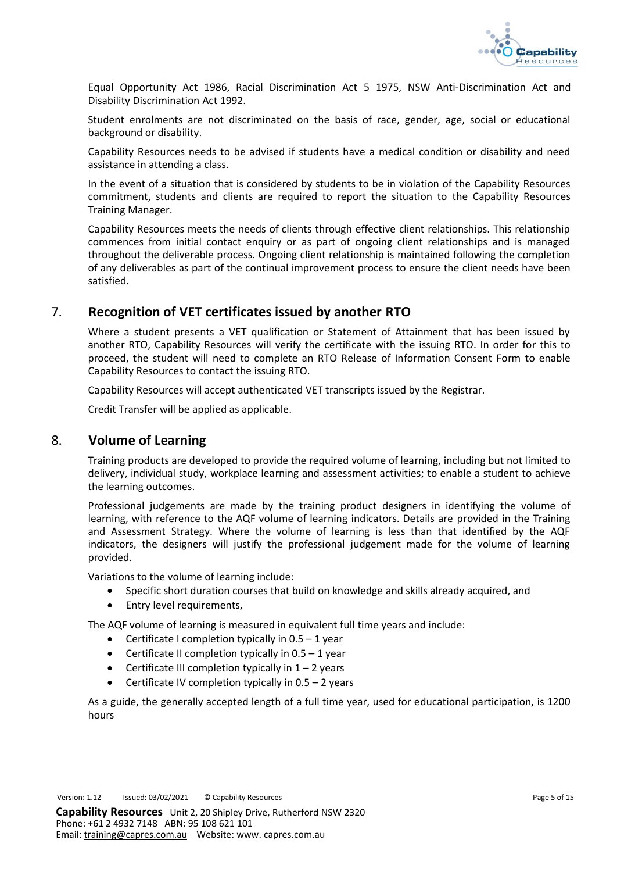

Equal Opportunity Act 1986, Racial Discrimination Act 5 1975, NSW Anti-Discrimination Act and Disability Discrimination Act 1992.

Student enrolments are not discriminated on the basis of race, gender, age, social or educational background or disability.

Capability Resources needs to be advised if students have a medical condition or disability and need assistance in attending a class.

In the event of a situation that is considered by students to be in violation of the Capability Resources commitment, students and clients are required to report the situation to the Capability Resources Training Manager.

Capability Resources meets the needs of clients through effective client relationships. This relationship commences from initial contact enquiry or as part of ongoing client relationships and is managed throughout the deliverable process. Ongoing client relationship is maintained following the completion of any deliverables as part of the continual improvement process to ensure the client needs have been satisfied.

# <span id="page-4-0"></span>7. **Recognition of VET certificates issued by another RTO**

Where a student presents a VET qualification or Statement of Attainment that has been issued by another RTO, Capability Resources will verify the certificate with the issuing RTO. In order for this to proceed, the student will need to complete an RTO Release of Information Consent Form to enable Capability Resources to contact the issuing RTO.

Capability Resources will accept authenticated VET transcripts issued by the Registrar.

Credit Transfer will be applied as applicable.

## <span id="page-4-1"></span>8. **Volume of Learning**

Training products are developed to provide the required volume of learning, including but not limited to delivery, individual study, workplace learning and assessment activities; to enable a student to achieve the learning outcomes.

Professional judgements are made by the training product designers in identifying the volume of learning, with reference to the AQF volume of learning indicators. Details are provided in the Training and Assessment Strategy. Where the volume of learning is less than that identified by the AQF indicators, the designers will justify the professional judgement made for the volume of learning provided.

Variations to the volume of learning include:

- Specific short duration courses that build on knowledge and skills already acquired, and
- Entry level requirements,

The AQF volume of learning is measured in equivalent full time years and include:

- Certificate I completion typically in  $0.5 1$  year
- Certificate II completion typically in  $0.5 1$  year
- Certificate III completion typically in  $1 2$  years
- Certificate IV completion typically in  $0.5 2$  years

As a guide, the generally accepted length of a full time year, used for educational participation, is 1200 hours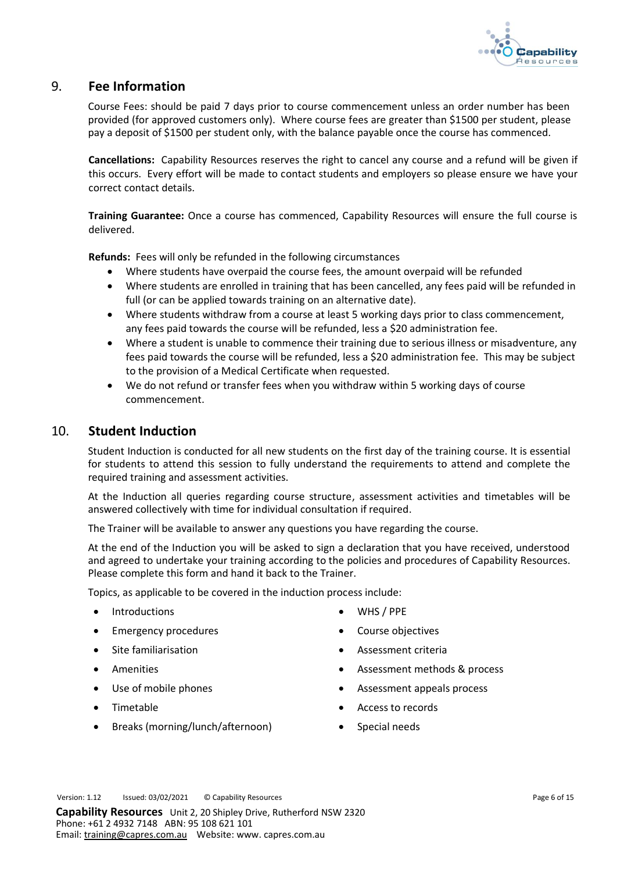

## <span id="page-5-0"></span>9. **Fee Information**

Course Fees: should be paid 7 days prior to course commencement unless an order number has been provided (for approved customers only). Where course fees are greater than \$1500 per student, please pay a deposit of \$1500 per student only, with the balance payable once the course has commenced.

**Cancellations:** Capability Resources reserves the right to cancel any course and a refund will be given if this occurs. Every effort will be made to contact students and employers so please ensure we have your correct contact details.

**Training Guarantee:** Once a course has commenced, Capability Resources will ensure the full course is delivered.

**Refunds:** Fees will only be refunded in the following circumstances

- Where students have overpaid the course fees, the amount overpaid will be refunded
- Where students are enrolled in training that has been cancelled, any fees paid will be refunded in full (or can be applied towards training on an alternative date).
- Where students withdraw from a course at least 5 working days prior to class commencement, any fees paid towards the course will be refunded, less a \$20 administration fee.
- Where a student is unable to commence their training due to serious illness or misadventure, any fees paid towards the course will be refunded, less a \$20 administration fee. This may be subject to the provision of a Medical Certificate when requested.
- We do not refund or transfer fees when you withdraw within 5 working days of course commencement.

## <span id="page-5-1"></span>10. **Student Induction**

Student Induction is conducted for all new students on the first day of the training course. It is essential for students to attend this session to fully understand the requirements to attend and complete the required training and assessment activities.

At the Induction all queries regarding course structure, assessment activities and timetables will be answered collectively with time for individual consultation if required.

The Trainer will be available to answer any questions you have regarding the course.

At the end of the Induction you will be asked to sign a declaration that you have received, understood and agreed to undertake your training according to the policies and procedures of Capability Resources. Please complete this form and hand it back to the Trainer.

Topics, as applicable to be covered in the induction process include:

- Introductions WHS / PPE
- Emergency procedures Course objectives
- 
- 
- 
- 
- Breaks (morning/lunch/afternoon) Special needs
- 
- 
- Site familiarisation Assessment criteria
- Amenities Amenities Assessment methods & process
- Use of mobile phones Assessment appeals process
- Timetable Access to records
	-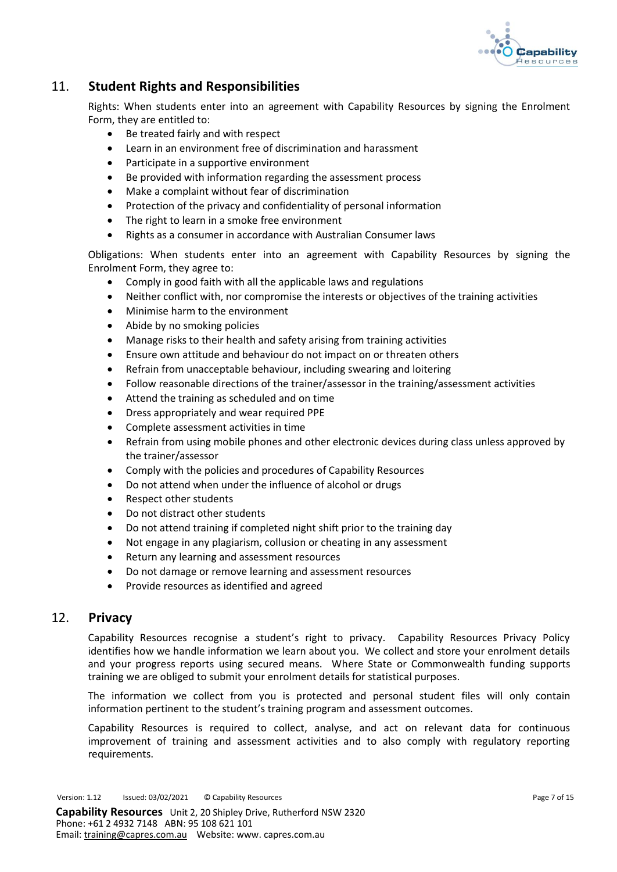

# <span id="page-6-0"></span>11. **Student Rights and Responsibilities**

Rights: When students enter into an agreement with Capability Resources by signing the Enrolment Form, they are entitled to:

- Be treated fairly and with respect
- Learn in an environment free of discrimination and harassment
- Participate in a supportive environment
- Be provided with information regarding the assessment process
- Make a complaint without fear of discrimination
- Protection of the privacy and confidentiality of personal information
- The right to learn in a smoke free environment
- Rights as a consumer in accordance with Australian Consumer laws

Obligations: When students enter into an agreement with Capability Resources by signing the Enrolment Form, they agree to:

- Comply in good faith with all the applicable laws and regulations
- Neither conflict with, nor compromise the interests or objectives of the training activities
- Minimise harm to the environment
- Abide by no smoking policies
- Manage risks to their health and safety arising from training activities
- Ensure own attitude and behaviour do not impact on or threaten others
- Refrain from unacceptable behaviour, including swearing and loitering
- Follow reasonable directions of the trainer/assessor in the training/assessment activities
- Attend the training as scheduled and on time
- Dress appropriately and wear required PPE
- Complete assessment activities in time
- Refrain from using mobile phones and other electronic devices during class unless approved by the trainer/assessor
- Comply with the policies and procedures of Capability Resources
- Do not attend when under the influence of alcohol or drugs
- Respect other students
- Do not distract other students
- Do not attend training if completed night shift prior to the training day
- Not engage in any plagiarism, collusion or cheating in any assessment
- Return any learning and assessment resources
- Do not damage or remove learning and assessment resources
- Provide resources as identified and agreed

## <span id="page-6-1"></span>12. **Privacy**

Capability Resources recognise a student's right to privacy. Capability Resources Privacy Policy identifies how we handle information we learn about you. We collect and store your enrolment details and your progress reports using secured means. Where State or Commonwealth funding supports training we are obliged to submit your enrolment details for statistical purposes.

The information we collect from you is protected and personal student files will only contain information pertinent to the student's training program and assessment outcomes.

Capability Resources is required to collect, analyse, and act on relevant data for continuous improvement of training and assessment activities and to also comply with regulatory reporting requirements.

Version: 1.12 Issued: 03/02/2021 © Capability Resources **Page 7 of 15** Page 7 of 15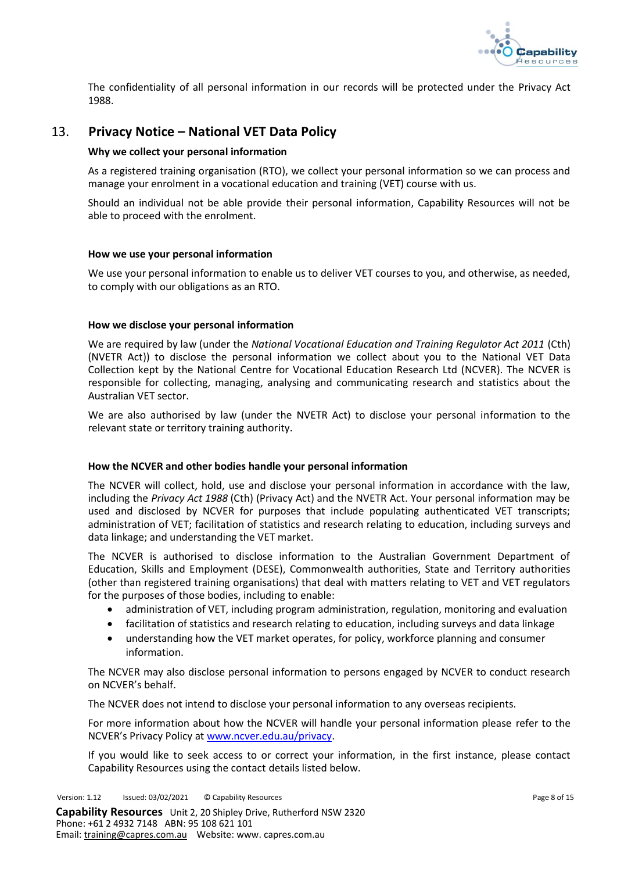

The confidentiality of all personal information in our records will be protected under the Privacy Act 1988.

# <span id="page-7-0"></span>13. **Privacy Notice – National VET Data Policy**

#### **Why we collect your personal information**

As a registered training organisation (RTO), we collect your personal information so we can process and manage your enrolment in a vocational education and training (VET) course with us.

Should an individual not be able provide their personal information, Capability Resources will not be able to proceed with the enrolment.

#### **How we use your personal information**

We use your personal information to enable us to deliver VET courses to you, and otherwise, as needed, to comply with our obligations as an RTO.

#### **How we disclose your personal information**

We are required by law (under the *National Vocational Education and Training Regulator Act 2011* (Cth) (NVETR Act)) to disclose the personal information we collect about you to the National VET Data Collection kept by the National Centre for Vocational Education Research Ltd (NCVER). The NCVER is responsible for collecting, managing, analysing and communicating research and statistics about the Australian VET sector.

We are also authorised by law (under the NVETR Act) to disclose your personal information to the relevant state or territory training authority.

#### **How the NCVER and other bodies handle your personal information**

The NCVER will collect, hold, use and disclose your personal information in accordance with the law, including the *Privacy Act 1988* (Cth) (Privacy Act) and the NVETR Act. Your personal information may be used and disclosed by NCVER for purposes that include populating authenticated VET transcripts; administration of VET; facilitation of statistics and research relating to education, including surveys and data linkage; and understanding the VET market.

The NCVER is authorised to disclose information to the Australian Government Department of Education, Skills and Employment (DESE), Commonwealth authorities, State and Territory authorities (other than registered training organisations) that deal with matters relating to VET and VET regulators for the purposes of those bodies, including to enable:

- administration of VET, including program administration, regulation, monitoring and evaluation
- facilitation of statistics and research relating to education, including surveys and data linkage
- understanding how the VET market operates, for policy, workforce planning and consumer information.

The NCVER may also disclose personal information to persons engaged by NCVER to conduct research on NCVER's behalf.

The NCVER does not intend to disclose your personal information to any overseas recipients.

For more information about how the NCVER will handle your personal information please refer to the NCVER's Privacy Policy at [www.ncver.edu.au/privacy.](http://www.ncver.edu.au/privacy)

If you would like to seek access to or correct your information, in the first instance, please contact Capability Resources using the contact details listed below.

Version: 1.12 Issued: 03/02/2021 © Capability Resources **Page 8 of 15** Page 8 of 15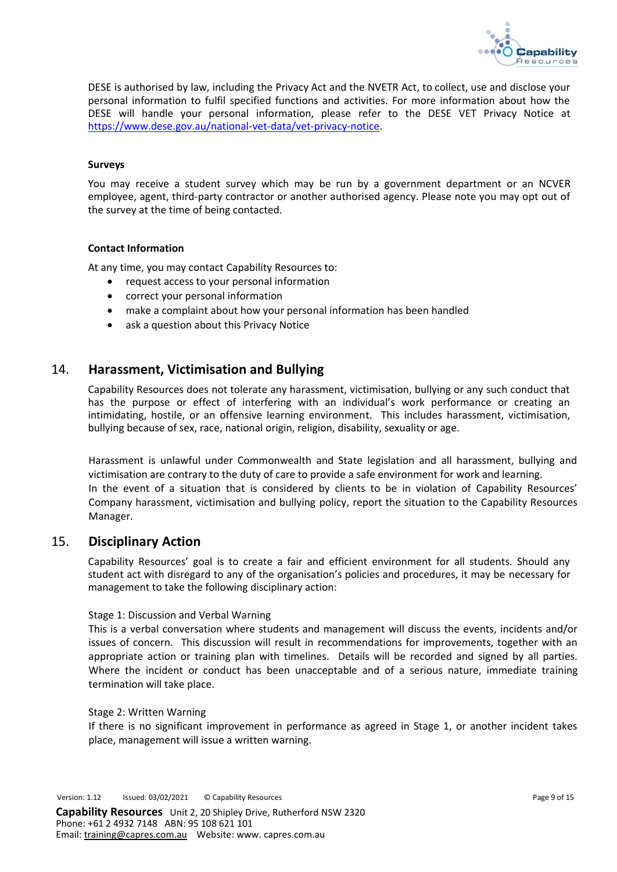

DESE is authorised by law, including the Privacy Act and the NVETR Act, to collect, use and disclose your personal information to fulfil specified functions and activities. For more information about how the DESE will handle your personal information, please refer to the DESE VET Privacy Notice at [https://www.dese.gov.au/national-vet-data/vet-privacy-notice.](https://www.dese.gov.au/national-vet-data/vet-privacy-notice)

#### **Surveys**

You may receive a student survey which may be run by a government department or an NCVER employee, agent, third-party contractor or another authorised agency. Please note you may opt out of the survey at the time of being contacted.

#### **Contact Information**

At any time, you may contact Capability Resources to:

- request access to your personal information
- correct your personal information
- make a complaint about how your personal information has been handled
- ask a question about this Privacy Notice

## <span id="page-8-0"></span>14. **Harassment, Victimisation and Bullying**

Capability Resources does not tolerate any harassment, victimisation, bullying or any such conduct that has the purpose or effect of interfering with an individual's work performance or creating an intimidating, hostile, or an offensive learning environment. This includes harassment, victimisation, bullying because of sex, race, national origin, religion, disability, sexuality or age.

Harassment is unlawful under Commonwealth and State legislation and all harassment, bullying and victimisation are contrary to the duty of care to provide a safe environment for work and learning. In the event of a situation that is considered by clients to be in violation of Capability Resources' Company harassment, victimisation and bullying policy, report the situation to the Capability Resources Manager.

## <span id="page-8-1"></span>15. **Disciplinary Action**

Capability Resources' goal is to create a fair and efficient environment for all students. Should any student act with disregard to any of the organisation's policies and procedures, it may be necessary for management to take the following disciplinary action:

#### Stage 1: Discussion and Verbal Warning

This is a verbal conversation where students and management will discuss the events, incidents and/or issues of concern. This discussion will result in recommendations for improvements, together with an appropriate action or training plan with timelines. Details will be recorded and signed by all parties. Where the incident or conduct has been unacceptable and of a serious nature, immediate training termination will take place.

#### Stage 2: Written Warning

If there is no significant improvement in performance as agreed in Stage 1, or another incident takes place, management will issue a written warning.

Version: 1.12 Issued: 03/02/2021 © Capability Resources **Page 9 of 15** Page 9 of 15 **Capability Resources** Unit 2, 20 Shipley Drive, Rutherford NSW 2320 Phone: +61 2 4932 7148 ABN: 95 108 621 101

Email: [training@capres.com.au](mailto:training@capres.com.au) Website: www. capres.com.au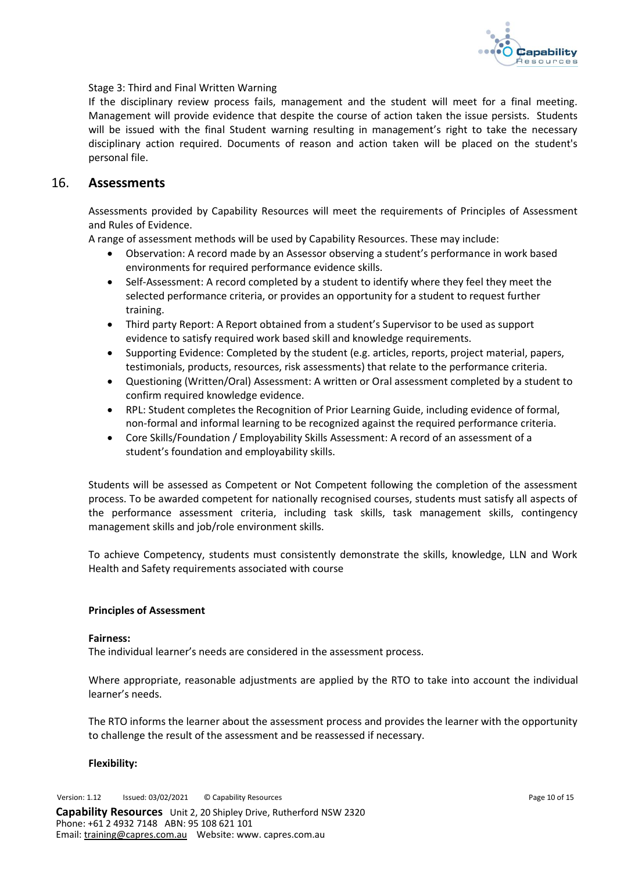

Stage 3: Third and Final Written Warning

If the disciplinary review process fails, management and the student will meet for a final meeting. Management will provide evidence that despite the course of action taken the issue persists. Students will be issued with the final Student warning resulting in management's right to take the necessary disciplinary action required. Documents of reason and action taken will be placed on the student's personal file.

## <span id="page-9-0"></span>16. **Assessments**

Assessments provided by Capability Resources will meet the requirements of Principles of Assessment and Rules of Evidence.

A range of assessment methods will be used by Capability Resources. These may include:

- Observation: A record made by an Assessor observing a student's performance in work based environments for required performance evidence skills.
- Self-Assessment: A record completed by a student to identify where they feel they meet the selected performance criteria, or provides an opportunity for a student to request further training.
- Third party Report: A Report obtained from a student's Supervisor to be used as support evidence to satisfy required work based skill and knowledge requirements.
- Supporting Evidence: Completed by the student (e.g. articles, reports, project material, papers, testimonials, products, resources, risk assessments) that relate to the performance criteria.
- Questioning (Written/Oral) Assessment: A written or Oral assessment completed by a student to confirm required knowledge evidence.
- RPL: Student completes the Recognition of Prior Learning Guide, including evidence of formal, non-formal and informal learning to be recognized against the required performance criteria.
- Core Skills/Foundation / Employability Skills Assessment: A record of an assessment of a student's foundation and employability skills.

Students will be assessed as Competent or Not Competent following the completion of the assessment process. To be awarded competent for nationally recognised courses, students must satisfy all aspects of the performance assessment criteria, including task skills, task management skills, contingency management skills and job/role environment skills.

To achieve Competency, students must consistently demonstrate the skills, knowledge, LLN and Work Health and Safety requirements associated with course

#### **Principles of Assessment**

#### **Fairness:**

The individual learner's needs are considered in the assessment process.

Where appropriate, reasonable adjustments are applied by the RTO to take into account the individual learner's needs.

The RTO informs the learner about the assessment process and provides the learner with the opportunity to challenge the result of the assessment and be reassessed if necessary.

#### **Flexibility:**

Version: 1.12 Issued: 03/02/2021 © Capability Resources **Page 10** of 15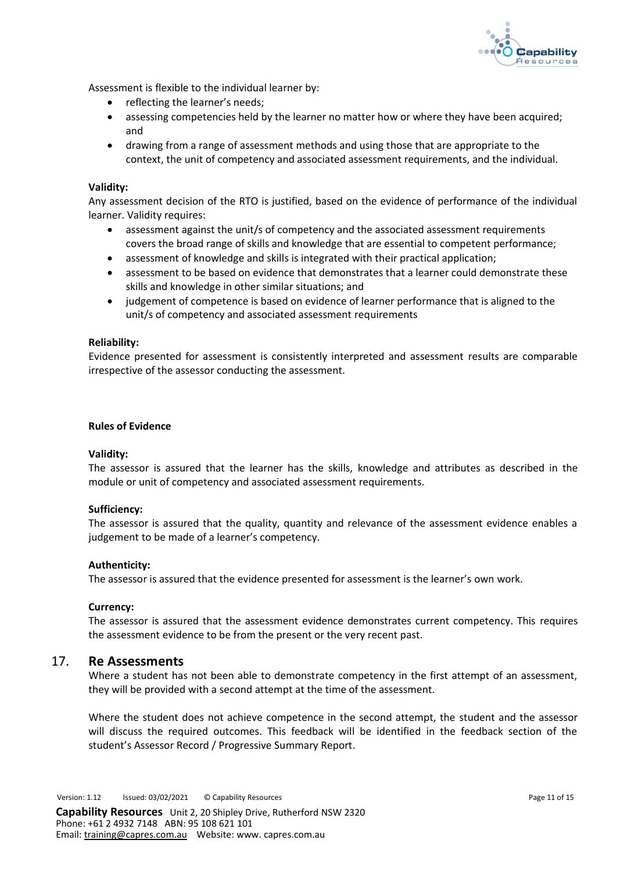

Assessment is flexible to the individual learner by:

- reflecting the learner's needs;
- assessing competencies held by the learner no matter how or where they have been acquired; and
- drawing from a range of assessment methods and using those that are appropriate to the context, the unit of competency and associated assessment requirements, and the individual.

#### **Validity:**

Any assessment decision of the RTO is justified, based on the evidence of performance of the individual learner. Validity requires:

- assessment against the unit/s of competency and the associated assessment requirements covers the broad range of skills and knowledge that are essential to competent performance;
- assessment of knowledge and skills is integrated with their practical application;
- assessment to be based on evidence that demonstrates that a learner could demonstrate these skills and knowledge in other similar situations; and
- judgement of competence is based on evidence of learner performance that is aligned to the unit/s of competency and associated assessment requirements

#### **Reliability:**

Evidence presented for assessment is consistently interpreted and assessment results are comparable irrespective of the assessor conducting the assessment.

#### **Rules of Evidence**

#### **Validity:**

The assessor is assured that the learner has the skills, knowledge and attributes as described in the module or unit of competency and associated assessment requirements.

#### **Sufficiency:**

The assessor is assured that the quality, quantity and relevance of the assessment evidence enables a judgement to be made of a learner's competency.

#### **Authenticity:**

The assessor is assured that the evidence presented for assessment is the learner's own work.

#### **Currency:**

The assessor is assured that the assessment evidence demonstrates current competency. This requires the assessment evidence to be from the present or the very recent past.

## <span id="page-10-0"></span>17. **Re Assessments**

Where a student has not been able to demonstrate competency in the first attempt of an assessment, they will be provided with a second attempt at the time of the assessment.

Where the student does not achieve competence in the second attempt, the student and the assessor will discuss the required outcomes. This feedback will be identified in the feedback section of the student's Assessor Record / Progressive Summary Report.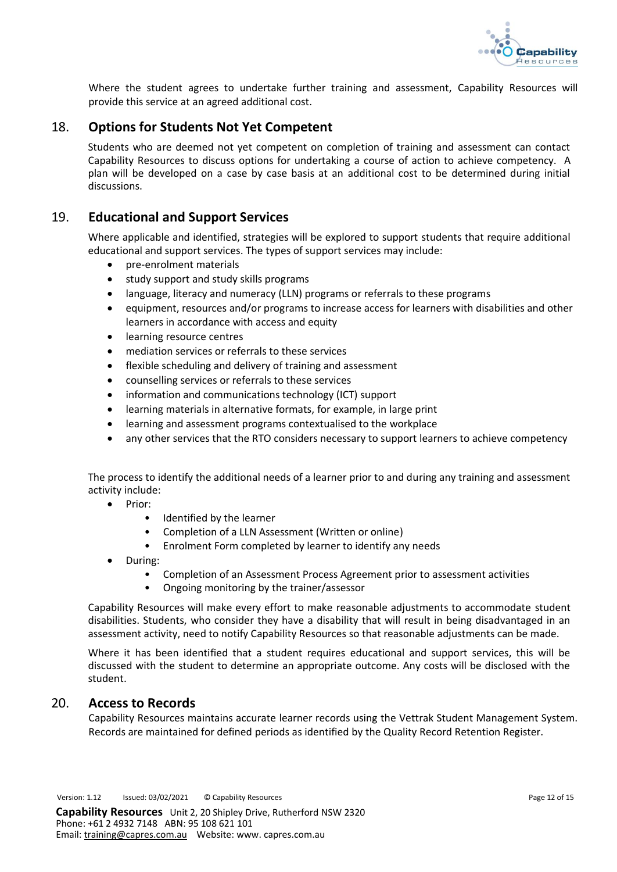

Where the student agrees to undertake further training and assessment, Capability Resources will provide this service at an agreed additional cost.

## <span id="page-11-0"></span>18. **Options for Students Not Yet Competent**

Students who are deemed not yet competent on completion of training and assessment can contact Capability Resources to discuss options for undertaking a course of action to achieve competency. A plan will be developed on a case by case basis at an additional cost to be determined during initial discussions.

## <span id="page-11-1"></span>19. **Educational and Support Services**

Where applicable and identified, strategies will be explored to support students that require additional educational and support services. The types of support services may include:

- pre-enrolment materials
- study support and study skills programs
- language, literacy and numeracy (LLN) programs or referrals to these programs
- equipment, resources and/or programs to increase access for learners with disabilities and other learners in accordance with access and equity
- learning resource centres
- mediation services or referrals to these services
- flexible scheduling and delivery of training and assessment
- counselling services or referrals to these services
- information and communications technology (ICT) support
- learning materials in alternative formats, for example, in large print
- learning and assessment programs contextualised to the workplace
- any other services that the RTO considers necessary to support learners to achieve competency

The process to identify the additional needs of a learner prior to and during any training and assessment activity include:

- Prior:
	- Identified by the learner
	- Completion of a LLN Assessment (Written or online)
	- Enrolment Form completed by learner to identify any needs
- During:
	- Completion of an Assessment Process Agreement prior to assessment activities
	- Ongoing monitoring by the trainer/assessor

Capability Resources will make every effort to make reasonable adjustments to accommodate student disabilities. Students, who consider they have a disability that will result in being disadvantaged in an assessment activity, need to notify Capability Resources so that reasonable adjustments can be made.

Where it has been identified that a student requires educational and support services, this will be discussed with the student to determine an appropriate outcome. Any costs will be disclosed with the student.

## <span id="page-11-2"></span>20. **Access to Records**

Capability Resources maintains accurate learner records using the Vettrak Student Management System. Records are maintained for defined periods as identified by the Quality Record Retention Register.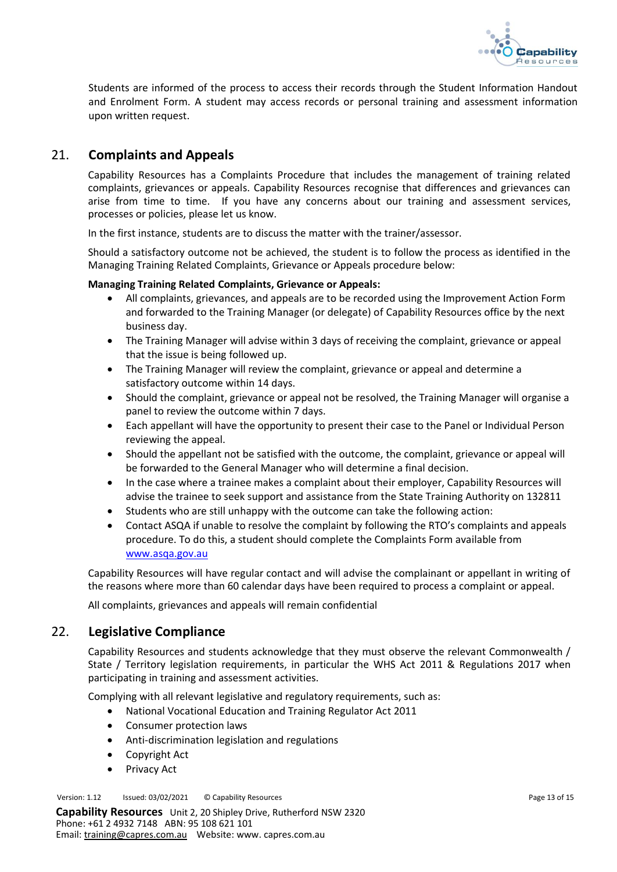

Students are informed of the process to access their records through the Student Information Handout and Enrolment Form. A student may access records or personal training and assessment information upon written request.

# <span id="page-12-0"></span>21. **Complaints and Appeals**

Capability Resources has a Complaints Procedure that includes the management of training related complaints, grievances or appeals. Capability Resources recognise that differences and grievances can arise from time to time. If you have any concerns about our training and assessment services, processes or policies, please let us know.

In the first instance, students are to discuss the matter with the trainer/assessor.

Should a satisfactory outcome not be achieved, the student is to follow the process as identified in the Managing Training Related Complaints, Grievance or Appeals procedure below:

#### **Managing Training Related Complaints, Grievance or Appeals:**

- All complaints, grievances, and appeals are to be recorded using the Improvement Action Form and forwarded to the Training Manager (or delegate) of Capability Resources office by the next business day.
- The Training Manager will advise within 3 days of receiving the complaint, grievance or appeal that the issue is being followed up.
- The Training Manager will review the complaint, grievance or appeal and determine a satisfactory outcome within 14 days.
- Should the complaint, grievance or appeal not be resolved, the Training Manager will organise a panel to review the outcome within 7 days.
- Each appellant will have the opportunity to present their case to the Panel or Individual Person reviewing the appeal.
- Should the appellant not be satisfied with the outcome, the complaint, grievance or appeal will be forwarded to the General Manager who will determine a final decision.
- In the case where a trainee makes a complaint about their employer, Capability Resources will advise the trainee to seek support and assistance from the State Training Authority on 132811
- Students who are still unhappy with the outcome can take the following action:
- Contact ASQA if unable to resolve the complaint by following the RTO's complaints and appeals procedure. To do this, a student should complete the Complaints Form available from [www.asqa.gov.au](http://www.asqa.gov.au/)

Capability Resources will have regular contact and will advise the complainant or appellant in writing of the reasons where more than 60 calendar days have been required to process a complaint or appeal.

All complaints, grievances and appeals will remain confidential

## <span id="page-12-1"></span>22. **Legislative Compliance**

Capability Resources and students acknowledge that they must observe the relevant Commonwealth / State / Territory legislation requirements, in particular the WHS Act 2011 & Regulations 2017 when participating in training and assessment activities.

Complying with all relevant legislative and regulatory requirements, such as:

- National Vocational Education and Training Regulator Act 2011
- Consumer protection laws
- Anti-discrimination legislation and regulations
- Copyright Act
- Privacy Act

Version: 1.12 Issued: 03/02/2021 © Capability Resources **Page 13 of 15** Page 13 of 15

**Capability Resources** Unit 2, 20 Shipley Drive, Rutherford NSW 2320 Phone: +61 2 4932 7148 ABN: 95 108 621 101 Email: [training@capres.com.au](mailto:training@capres.com.au) Website: www. capres.com.au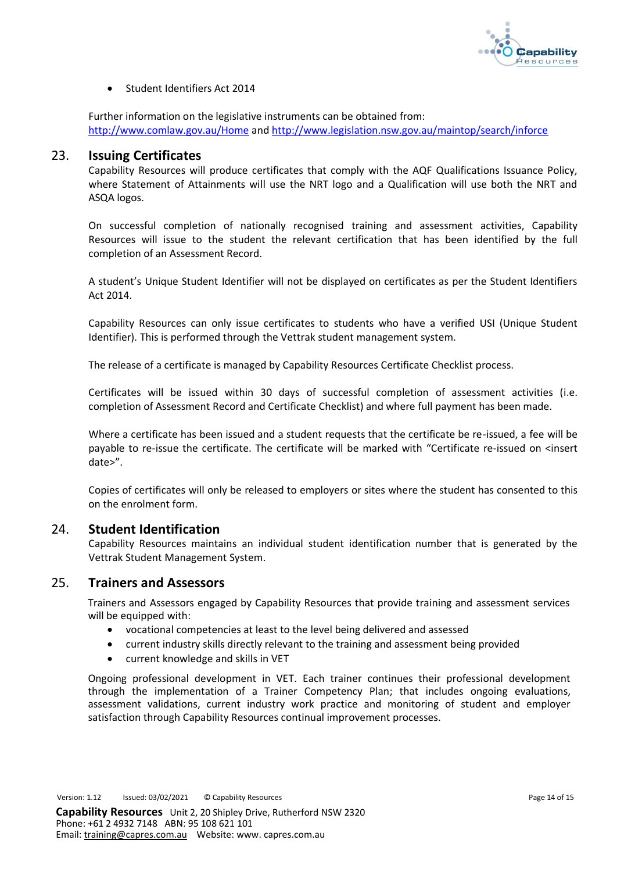

• Student Identifiers Act 2014

Further information on the legislative instruments can be obtained from: <http://www.comlaw.gov.au/Home> an[d http://www.legislation.nsw.gov.au/maintop/search/inforce](http://www.legislation.nsw.gov.au/maintop/search/inforce)

## <span id="page-13-0"></span>23. **Issuing Certificates**

Capability Resources will produce certificates that comply with the AQF Qualifications Issuance Policy, where Statement of Attainments will use the NRT logo and a Qualification will use both the NRT and ASQA logos.

On successful completion of nationally recognised training and assessment activities, Capability Resources will issue to the student the relevant certification that has been identified by the full completion of an Assessment Record.

A student's Unique Student Identifier will not be displayed on certificates as per the Student Identifiers Act 2014.

Capability Resources can only issue certificates to students who have a verified USI (Unique Student Identifier). This is performed through the Vettrak student management system.

The release of a certificate is managed by Capability Resources Certificate Checklist process.

Certificates will be issued within 30 days of successful completion of assessment activities (i.e. completion of Assessment Record and Certificate Checklist) and where full payment has been made.

Where a certificate has been issued and a student requests that the certificate be re-issued, a fee will be payable to re-issue the certificate. The certificate will be marked with "Certificate re-issued on <insert date>".

Copies of certificates will only be released to employers or sites where the student has consented to this on the enrolment form.

#### <span id="page-13-1"></span>24. **Student Identification**

Capability Resources maintains an individual student identification number that is generated by the Vettrak Student Management System.

## <span id="page-13-2"></span>25. **Trainers and Assessors**

Trainers and Assessors engaged by Capability Resources that provide training and assessment services will be equipped with:

- vocational competencies at least to the level being delivered and assessed
- current industry skills directly relevant to the training and assessment being provided
- current knowledge and skills in VET

Ongoing professional development in VET. Each trainer continues their professional development through the implementation of a Trainer Competency Plan; that includes ongoing evaluations, assessment validations, current industry work practice and monitoring of student and employer satisfaction through Capability Resources continual improvement processes.